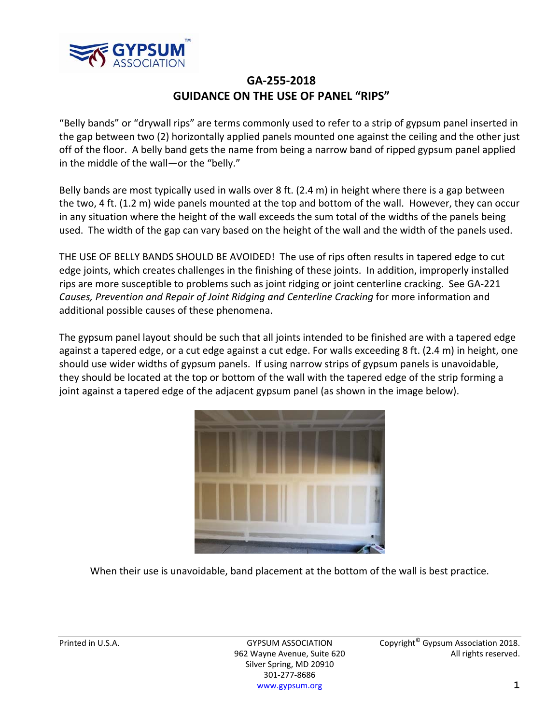

## **GA‐255‐2018 GUIDANCE ON THE USE OF PANEL "RIPS"**

"Belly bands" or "drywall rips" are terms commonly used to refer to a strip of gypsum panel inserted in the gap between two (2) horizontally applied panels mounted one against the ceiling and the other just off of the floor. A belly band gets the name from being a narrow band of ripped gypsum panel applied in the middle of the wall—or the "belly."

Belly bands are most typically used in walls over 8 ft. (2.4 m) in height where there is a gap between the two, 4 ft. (1.2 m) wide panels mounted at the top and bottom of the wall. However, they can occur in any situation where the height of the wall exceeds the sum total of the widths of the panels being used. The width of the gap can vary based on the height of the wall and the width of the panels used.

THE USE OF BELLY BANDS SHOULD BE AVOIDED! The use of rips often results in tapered edge to cut edge joints, which creates challenges in the finishing of these joints. In addition, improperly installed rips are more susceptible to problems such as joint ridging or joint centerline cracking. See GA‐221 *Causes, Prevention and Repair of Joint Ridging and Centerline Cracking* for more information and additional possible causes of these phenomena.

The gypsum panel layout should be such that all joints intended to be finished are with a tapered edge against a tapered edge, or a cut edge against a cut edge. For walls exceeding 8 ft. (2.4 m) in height, one should use wider widths of gypsum panels. If using narrow strips of gypsum panels is unavoidable, they should be located at the top or bottom of the wall with the tapered edge of the strip forming a joint against a tapered edge of the adjacent gypsum panel (as shown in the image below).



When their use is unavoidable, band placement at the bottom of the wall is best practice.

Silver Spring, MD 20910 301‐277‐8686 www.gypsum.org **1**